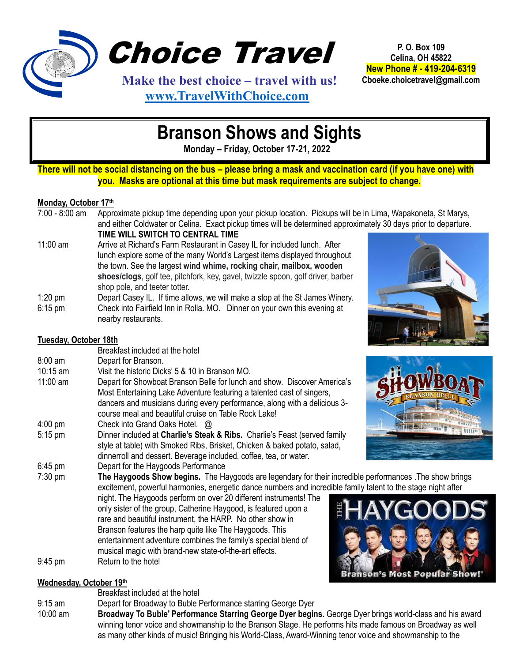

Choice Travel

 **Make the best choice – travel with us! [www.TravelWithChoice.com](http://www.travelwithchoice.com/)**

**P. O. Box 109 Celina, OH 45822 New Phone # - 419-204-6319 Cboeke.choicetravel@gmail.com**

# **Branson Shows and Sights**

 **Monday – Friday, October 17-21, 2022**

#### **There will not be social distancing on the bus – please bring a mask and vaccination card (if you have one) with you. Masks are optional at this time but mask requirements are subject to change.**

# **Monday, October 17th**<br>7:00 - 8:00 am Appre

- Approximate pickup time depending upon your pickup location. Pickups will be in Lima, Wapakoneta, St Marys, and either Coldwater or Celina. Exact pickup times will be determined approximately 30 days prior to departure. **TIME WILL SWITCH TO CENTRAL TIME**
- 11:00 am Arrive at Richard's Farm Restaurant in Casey IL for included lunch. After lunch explore some of the many World's Largest items displayed throughout the town. See the largest **wind whime, rocking chair, mailbox, wooden shoes/clogs**, golf tee, pitchfork, key, gavel, twizzle spoon, golf driver, barber shop pole, and teeter totter.
- 1:20 pm Depart Casey IL. If time allows, we will make a stop at the St James Winery. 6:15 pm Check into Fairfield Inn in Rolla. MO. Dinner on your own this evening at nearby restaurants.



#### **Tuesday, October 18th**

|            | Breakfast included at the hotel                                                                               |
|------------|---------------------------------------------------------------------------------------------------------------|
| $8:00$ am  | Depart for Branson.                                                                                           |
| $10:15$ am | Visit the historic Dicks' 5 & 10 in Branson MO.                                                               |
| $11:00$ am | Depart for Showboat Branson Belle for lunch and show. Discover America's                                      |
|            | Most Entertaining Lake Adventure featuring a talented cast of singers,                                        |
|            | dancers and musicians during every performance, along with a delicious 3-                                     |
|            | course meal and beautiful cruise on Table Rock Lake!                                                          |
| $4:00$ pm  | Check into Grand Oaks Hotel. @                                                                                |
| $5:15$ pm  | Dinner included at Charlie's Steak & Ribs. Charlie's Feast (served family                                     |
|            | style at table) with Smoked Ribs, Brisket, Chicken & baked potato, salad,                                     |
|            | dinnerroll and dessert. Beverage included, coffee, tea, or water.                                             |
| $6:45$ pm  | Depart for the Haygoods Performance                                                                           |
| $7:30$ pm  | The Haygoods Show begins. The Haygoods are legendary for their incredible performances . The show brin        |
|            | excitement, powerful harmonies, energetic dance numbers and incredible family talent to the stage night after |
|            | night. The Haygoods perform on over 20 different instruments! The                                             |
|            | <b>HAYGO</b><br>only sister of the group, Catherine Haygood, is featured upon a                               |
|            | rare and beautiful instrument, the HARP. No other show in                                                     |
|            | Branson features the harp quite like The Haygoods. This                                                       |
|            | entertainment adventure combines the family's special blend of                                                |
|            | musical magic with brand-new state-of-the-art effects.                                                        |
| $9:45$ pm  | Return to the hotel                                                                                           |
|            | son's Most Por                                                                                                |



## **Wednesday, October 19th**

Breakfast included at the hotel

9:15 am Depart for Broadway to Buble Performance starring George Dyer

10:00 am **Broadway To Buble' Performance Starring George Dyer begins.** George Dyer brings world-class and his award winning tenor voice and showmanship to the Branson Stage. He performs hits made famous on Broadway as well as many other kinds of music! Bringing his World-Class, Award-Winning tenor voice and showmanship to the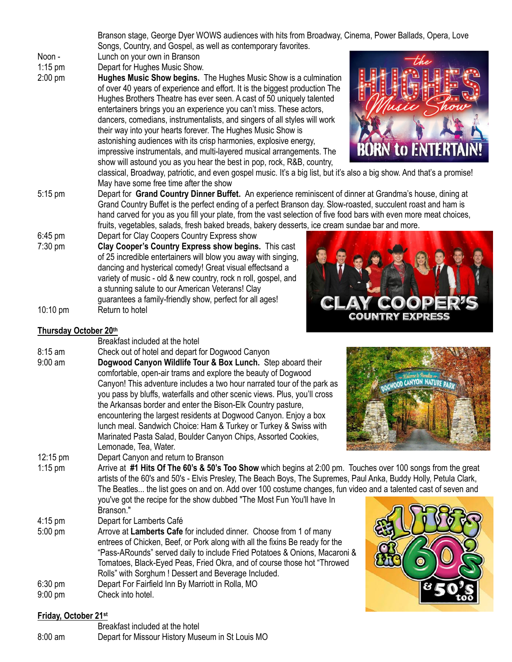Branson stage, George Dyer WOWS audiences with hits from Broadway, Cinema, Power Ballads, Opera, Love Songs, Country, and Gospel, as well as contemporary favorites.

Noon - Lunch on your own in Branson

- 1:15 pm Depart for Hughes Music Show.
- 2:00 pm **Hughes Music Show begins.** The Hughes Music Show is a culmination of over 40 years of experience and effort. It is the biggest production The Hughes Brothers Theatre has ever seen. A cast of 50 uniquely talented entertainers brings you an experience you can't miss. These actors, dancers, comedians, instrumentalists, and singers of all styles will work their way into your hearts forever. The Hughes Music Show is astonishing audiences with its crisp harmonies, explosive energy, impressive instrumentals, and multi-layered musical arrangements. The show will astound you as you hear the best in pop, rock, R&B, country,



classical, Broadway, patriotic, and even gospel music. It's a big list, but it's also a big show. And that's a promise! May have some free time after the show

- 5:15 pm Depart for **Grand Country Dinner Buffet.** An experience reminiscent of dinner at Grandma's house, dining at Grand Country Buffet is the perfect ending of a perfect Branson day. Slow-roasted, succulent roast and ham is hand carved for you as you fill your plate, from the vast selection of five food bars with even more meat choices, fruits, vegetables, salads, fresh baked breads, bakery desserts, ice cream sundae bar and more.
- 6:45 pm Depart for Clay Coopers Country Express show 7:30 pm **Clay Cooper's Country Express show begins.** This cast of 25 incredible entertainers will blow you away with singing, dancing and hysterical comedy! Great visual effectsand a variety of music - old & new country, rock n roll, gospel, and a stunning salute to our American Veterans! Clay guarantees a family-friendly show, perfect for all ages! 10:10 pm Return to hotel



## **Thursday October 20th**

- Breakfast included at the hotel
- 8:15 am Check out of hotel and depart for Dogwood Canyon
- 9:00 am **Dogwood Canyon Wildlife Tour & Box Lunch.** Step aboard their comfortable, open-air trams and explore the beauty of Dogwood Canyon! This adventure includes a two hour narrated tour of the park as you pass by bluffs, waterfalls and other scenic views. Plus, you'll cross the Arkansas border and enter the Bison-Elk Country pasture, encountering the largest residents at Dogwood Canyon. Enjoy a box lunch meal. Sandwich Choice: Ham & Turkey or Turkey & Swiss with Marinated Pasta Salad, Boulder Canyon Chips, Assorted Cookies, Lemonade, Tea, Water.
- 12:15 pm Depart Canyon and return to Branson

1:15 pm Arrive at **#1 Hits Of The 60's & 50's Too Show** which begins at 2:00 pm. Touches over 100 songs from the great artists of the 60's and 50's - Elvis Presley, The Beach Boys, The Supremes, Paul Anka, Buddy Holly, Petula Clark, The Beatles... the list goes on and on. Add over 100 costume changes, fun video and a talented cast of seven and

you've got the recipe for the show dubbed "The Most Fun You'll have In Branson."

- 4:15 pm Depart for Lamberts Café
- 5:00 pm Arrove at **Lamberts Cafe** for included dinner. Choose from 1 of many entrees of Chicken, Beef, or Pork along with all the fixins Be ready for the "Pass-ARounds" served daily to include Fried Potatoes & Onions, Macaroni & Tomatoes, Black-Eyed Peas, Fried Okra, and of course those hot "Throwed Rolls" with Sorghum ! Dessert and Beverage Included.
- 6:30 pm Depart For Fairfield Inn By Marriott in Rolla, MO
- 9:00 pm Check into hotel.

#### **Friday, October 21st**

|           | Breakfast included at the hotel                  |
|-----------|--------------------------------------------------|
| $8:00$ am | Depart for Missour History Museum in St Louis MO |